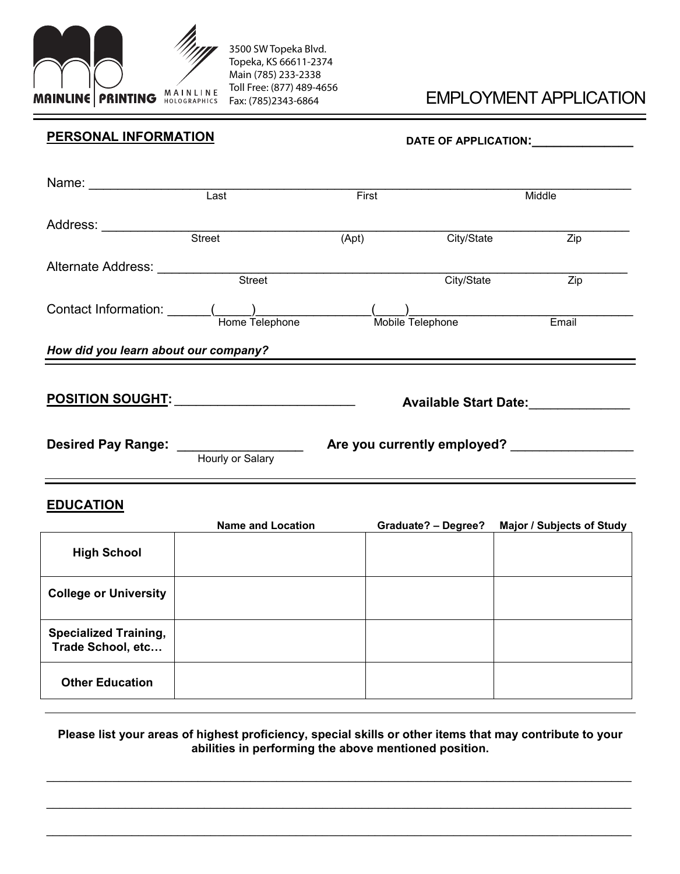

**Other Education**

## EMPLOYMENT APPLICATION

| <b>PERSONAL INFORMATION</b>                       |                                                    | DATE OF APPLICATION: _______________ |                            |                                                      |  |  |
|---------------------------------------------------|----------------------------------------------------|--------------------------------------|----------------------------|------------------------------------------------------|--|--|
| Name: Last                                        |                                                    | First                                |                            | Middle                                               |  |  |
| Address: Street                                   |                                                    | (Apt)                                | City/State                 | $\overline{Zip}$                                     |  |  |
|                                                   |                                                    |                                      |                            | City/State Zip                                       |  |  |
|                                                   |                                                    |                                      |                            |                                                      |  |  |
|                                                   | How did you learn about our company?               |                                      |                            |                                                      |  |  |
|                                                   | <u>POSITION SOUGHT: __________________________</u> |                                      |                            | Available Start Date: National Available Start Date: |  |  |
|                                                   |                                                    |                                      |                            |                                                      |  |  |
| <b>EDUCATION</b>                                  | <b>Name and Location</b>                           |                                      | <b>Graduate? - Degree?</b> | <b>Major / Subjects of Study</b>                     |  |  |
| <b>High School</b>                                |                                                    |                                      |                            |                                                      |  |  |
| <b>College or University</b>                      |                                                    |                                      |                            |                                                      |  |  |
| <b>Specialized Training,</b><br>Trade School, etc |                                                    |                                      |                            |                                                      |  |  |

## **Please list your areas of highest proficiency, special skills or other items that may contribute to your abilities in performing the above mentioned position.**

 $\_$  , and the contribution of the contribution of the contribution of the contribution of the contribution of  $\mathcal{L}_\text{max}$ 

 $\mathcal{L}_\mathcal{L} = \{ \mathcal{L}_\mathcal{L} = \{ \mathcal{L}_\mathcal{L} = \{ \mathcal{L}_\mathcal{L} = \{ \mathcal{L}_\mathcal{L} = \{ \mathcal{L}_\mathcal{L} = \{ \mathcal{L}_\mathcal{L} = \{ \mathcal{L}_\mathcal{L} = \{ \mathcal{L}_\mathcal{L} = \{ \mathcal{L}_\mathcal{L} = \{ \mathcal{L}_\mathcal{L} = \{ \mathcal{L}_\mathcal{L} = \{ \mathcal{L}_\mathcal{L} = \{ \mathcal{L}_\mathcal{L} = \{ \mathcal{L}_\mathcal{$ 

 $\_$  , and the set of the set of the set of the set of the set of the set of the set of the set of the set of the set of the set of the set of the set of the set of the set of the set of the set of the set of the set of th